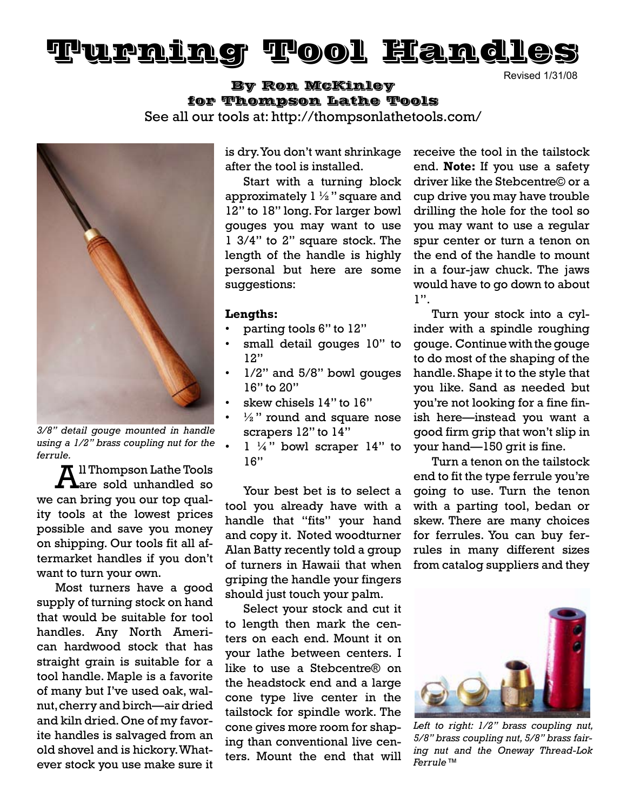# Turning Tool Handles

Revised 1/31/08

# By Ron McKinley for Thompson Lathe Tools See all our tools at: http://thompsonlathetools.com/



*3/8" detail gouge mounted in handle using a 1/2" brass coupling nut for the ferrule.*

 $\pi$  Il Thompson Lathe Tools are sold unhandled so we can bring you our top quality tools at the lowest prices possible and save you money on shipping. Our tools fit all aftermarket handles if you don't want to turn your own.

Most turners have a good supply of turning stock on hand that would be suitable for tool handles. Any North American hardwood stock that has straight grain is suitable for a tool handle. Maple is a favorite of many but I've used oak, walnut, cherry and birch—air dried and kiln dried. One of my favorite handles is salvaged from an old shovel and is hickory. Whatever stock you use make sure it is dry. You don't want shrinkage after the tool is installed.

Start with a turning block approximately  $1\frac{1}{2}$ " square and 12" to 18" long. For larger bowl gouges you may want to use 1 3/4" to 2" square stock. The length of the handle is highly personal but here are some suggestions:

#### **Lengths:**

- parting tools 6" to 12"
- small detail gouges 10" to 12"
- $1/2$ " and  $5/8$ " bowl gouges 16" to 20"
- skew chisels 14" to 16"
- $\frac{1}{2}$ " round and square nose scrapers 12" to 14"
- $1 \frac{1}{4}$ " bowl scraper 14" to 16"

Your best bet is to select a tool you already have with a handle that "fits" your hand and copy it. Noted woodturner Alan Batty recently told a group of turners in Hawaii that when griping the handle your fingers should just touch your palm.

Select your stock and cut it to length then mark the centers on each end. Mount it on your lathe between centers. I like to use a Stebcentre® on the headstock end and a large cone type live center in the tailstock for spindle work. The cone gives more room for shaping than conventional live centers. Mount the end that will

receive the tool in the tailstock end. **Note:** If you use a safety driver like the Stebcentre© or a cup drive you may have trouble drilling the hole for the tool so you may want to use a regular spur center or turn a tenon on the end of the handle to mount in a four-jaw chuck. The jaws would have to go down to about 1".

Turn your stock into a cylinder with a spindle roughing gouge. Continue with the gouge to do most of the shaping of the handle. Shape it to the style that you like. Sand as needed but you're not looking for a fine finish here—instead you want a good firm grip that won't slip in your hand—150 grit is fine.

Turn a tenon on the tailstock end to fit the type ferrule you're going to use. Turn the tenon with a parting tool, bedan or skew. There are many choices for ferrules. You can buy ferrules in many different sizes from catalog suppliers and they



*Left to right: 1/2" brass coupling nut, 5/8" brass coupling nut, 5/8" brass fairing nut and the Oneway Thread-Lok Ferrule™*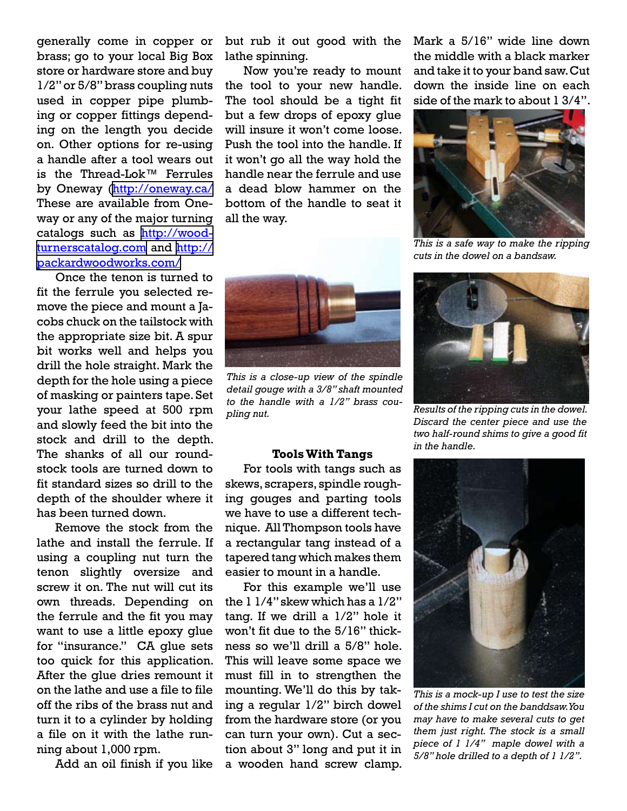generally come in copper or brass; go to your local Big Box store or hardware store and buy 1/2" or 5/8" brass coupling nuts used in copper pipe plumbing or copper fittings depending on the length you decide on. Other options for re-using a handle after a tool wears out is the Thread-Lok™ Ferrules by Oneway ([http://oneway.ca/](http://mysite.verizon.net/respwkup/stuff/id11.html) These are available from Oneway or any of the major turning catalogs such as [http://wood](http://woodturnerscatalog.com)[turnerscatalog.com](http://woodturnerscatalog.com) and [http://](http://packardwoodworks.com/) [packardwoodworks.com/](http://packardwoodworks.com/)

Once the tenon is turned to fit the ferrule you selected remove the piece and mount a Jacobs chuck on the tailstock with the appropriate size bit. A spur bit works well and helps you drill the hole straight. Mark the depth for the hole using a piece of masking or painters tape. Set your lathe speed at 500 rpm and slowly feed the bit into the stock and drill to the depth. The shanks of all our roundstock tools are turned down to fit standard sizes so drill to the depth of the shoulder where it has been turned down.

Remove the stock from the lathe and install the ferrule. If using a coupling nut turn the tenon slightly oversize and screw it on. The nut will cut its own threads. Depending on the ferrule and the fit you may want to use a little epoxy glue for "insurance." CA glue sets too quick for this application. After the glue dries remount it on the lathe and use a file to file off the ribs of the brass nut and turn it to a cylinder by holding a file on it with the lathe running about 1,000 rpm.

Add an oil finish if you like

but rub it out good with the lathe spinning.

Now you're ready to mount the tool to your new handle. The tool should be a tight fit but a few drops of epoxy glue will insure it won't come loose. Push the tool into the handle. If it won't go all the way hold the handle near the ferrule and use a dead blow hammer on the bottom of the handle to seat it all the way.

Mark a 5/16" wide line down the middle with a black marker and take it to your band saw. Cut down the inside line on each side of the mark to about 1 3/4".



*This is a safe way to make the ripping cuts in the dowel on a bandsaw.*



*This is a close-up view of the spindle detail gouge with a 3/8" shaft mounted to the handle with a 1/2" brass coupling nut.*

#### **Tools With Tangs**

For tools with tangs such as skews, scrapers, spindle roughing gouges and parting tools we have to use a different technique. All Thompson tools have a rectangular tang instead of a tapered tang which makes them easier to mount in a handle.

For this example we'll use the  $11/4$ " skew which has a  $1/2$ " tang. If we drill a 1/2" hole it won't fit due to the 5/16" thickness so we'll drill a 5/8" hole. This will leave some space we must fill in to strengthen the mounting. We'll do this by taking a regular 1/2" birch dowel from the hardware store (or you can turn your own). Cut a section about 3" long and put it in a wooden hand screw clamp.



*Results of the ripping cuts in the dowel. Discard the center piece and use the two half-round shims to give a good fit in the handle.*



*This is a mock-up I use to test the size of the shims I cut on the banddsaw. You may have to make several cuts to get them just right. The stock is a small piece of 1 1/4" maple dowel with a 5/8" hole drilled to a depth of 1 1/2".*